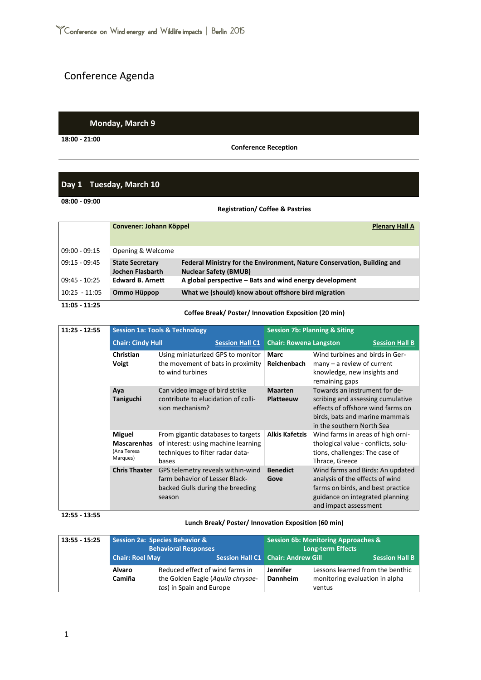# Conference Agenda

## **Monday, March 9**

**18:00 - 21:00**

**Conference Reception**

# **Day 1 Tuesday, March 10**

**08:00 - 09:00**

### **Registration/ Coffee & Pastries**

|                 | Convener: Johann Köppel                    | <b>Plenary Hall A</b>                                                                                   |
|-----------------|--------------------------------------------|---------------------------------------------------------------------------------------------------------|
|                 |                                            |                                                                                                         |
| $09:00 - 09:15$ | Opening & Welcome                          |                                                                                                         |
| $09:15 - 09:45$ | <b>State Secretary</b><br>Jochen Flasbarth | Federal Ministry for the Environment, Nature Conservation, Building and<br><b>Nuclear Safety (BMUB)</b> |
| $09:45 - 10:25$ | <b>Edward B. Arnett</b>                    | A global perspective – Bats and wind energy development                                                 |
| $10:25 - 11:05$ | Ommo Hüppop                                | What we (should) know about offshore bird migration                                                     |

## **11:05 - 11:25**

## **Coffee Break/ Poster/ Innovation Exposition (20 min)**

| $11:25 - 12:55$ | <b>Session 1a: Tools &amp; Technology</b>                      |                                                                                                                        |  | <b>Session 7b: Planning &amp; Siting</b> |                                                                                                                                                                        |                       |  |
|-----------------|----------------------------------------------------------------|------------------------------------------------------------------------------------------------------------------------|--|------------------------------------------|------------------------------------------------------------------------------------------------------------------------------------------------------------------------|-----------------------|--|
|                 |                                                                | <b>Chair: Cindy Hull</b>                                                                                               |  | <b>Chair: Rowena Langston</b>            |                                                                                                                                                                        | <b>Session Hall B</b> |  |
|                 | Christian<br>Voigt                                             | Using miniaturized GPS to monitor<br>the movement of bats in proximity<br>to wind turbines                             |  | Marc<br><b>Reichenbach</b>               | Wind turbines and birds in Ger-<br>$many - a review of current$<br>knowledge, new insights and<br>remaining gaps                                                       |                       |  |
|                 | Aya<br>Taniguchi                                               | Can video image of bird strike<br>contribute to elucidation of colli-<br>sion mechanism?                               |  | <b>Maarten</b><br><b>Platteeuw</b>       | Towards an instrument for de-<br>scribing and assessing cumulative<br>effects of offshore wind farms on<br>birds, bats and marine mammals<br>in the southern North Sea |                       |  |
|                 | <b>Miguel</b><br><b>Mascarenhas</b><br>(Ana Teresa<br>Marques) | From gigantic databases to targets<br>of interest: using machine learning<br>techniques to filter radar data-<br>bases |  | <b>Alkis Kafetzis</b>                    | Wind farms in areas of high orni-<br>thological value - conflicts, solu-<br>tions, challenges: The case of<br>Thrace, Greece                                           |                       |  |
|                 | <b>Chris Thaxter</b>                                           | GPS telemetry reveals within-wind<br>farm behavior of Lesser Black-<br>backed Gulls during the breeding<br>season      |  | <b>Benedict</b><br>Gove                  | Wind farms and Birds: An updated<br>analysis of the effects of wind<br>farms on birds, and best practice<br>guidance on integrated planning<br>and impact assessment   |                       |  |

#### **12:55 - 13:55**

#### **Lunch Break/ Poster/ Innovation Exposition (60 min)**

| $13:55 - 15:25$ | <b>Session 2a: Species Behavior &amp;</b><br><b>Behavioral Responses</b> |                                                                                                  | <b>Session 6b: Monitoring Approaches &amp;</b><br><b>Long-term Effects</b> |                             |                                                                              |                       |
|-----------------|--------------------------------------------------------------------------|--------------------------------------------------------------------------------------------------|----------------------------------------------------------------------------|-----------------------------|------------------------------------------------------------------------------|-----------------------|
|                 | <b>Chair: Roel May</b>                                                   |                                                                                                  | <b>Session Hall C1 Chair: Andrew Gill</b>                                  |                             |                                                                              | <b>Session Hall B</b> |
|                 | <b>Alvaro</b><br>Camiña                                                  | Reduced effect of wind farms in<br>the Golden Eagle (Aguila chrysae-<br>tos) in Spain and Europe |                                                                            | <b>Jennifer</b><br>Dannheim | Lessons learned from the benthic<br>monitoring evaluation in alpha<br>ventus |                       |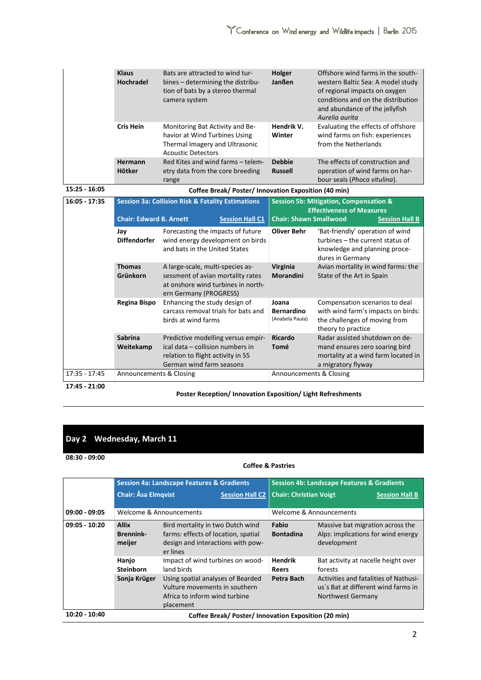| Hendrik V.<br>Evaluating the effects of offshore<br><b>Cris Hein</b><br>Monitoring Bat Activity and Be-<br>wind farms on fish: experiences<br>havior at Wind Turbines Using<br>Winter                                                                                                                                             |
|-----------------------------------------------------------------------------------------------------------------------------------------------------------------------------------------------------------------------------------------------------------------------------------------------------------------------------------|
| from the Netherlands<br>Thermal Imagery and Ultrasonic<br><b>Acoustic Detectors</b>                                                                                                                                                                                                                                               |
| <b>Debbie</b><br>Red Kites and wind farms - telem-<br>The effects of construction and<br>Hermann<br>Hötker<br><b>Russell</b><br>operation of wind farms on har-<br>etry data from the core breeding<br>bour seals (Phoca vitulina).<br>range                                                                                      |
| $15:25 - 16:05$<br>Coffee Break/ Poster/ Innovation Exposition (40 min)                                                                                                                                                                                                                                                           |
| $16:05 - 17:35$<br><b>Session 3a: Collision Risk &amp; Fatality Estimations</b><br><b>Session 5b: Mitigation, Compensation &amp;</b>                                                                                                                                                                                              |
| <b>Effectiveness of Measures</b><br><b>Chair: Edward B. Arnett</b><br><b>Chair: Shawn Smallwood</b><br><b>Session Hall C1</b><br><b>Session Hall B</b>                                                                                                                                                                            |
| <b>Oliver Behr</b><br>'Bat-friendly' operation of wind<br>Forecasting the impacts of future<br>Jay<br><b>Diffendorfer</b><br>turbines - the current status of<br>wind energy development on birds<br>and bats in the United States<br>knowledge and planning proce-<br>dures in Germany                                           |
| <b>Thomas</b><br>Avian mortality in wind farms: the<br>Virginia<br>A large-scale, multi-species as-<br>Grünkorn<br>sessment of avian mortality rates<br><b>Morandini</b><br>State of the Art in Spain<br>at onshore wind turbines in north-<br>ern Germany (PROGRESS)                                                             |
| <b>Regina Bispo</b><br>Enhancing the study design of<br>Joana<br>Compensation scenarios to deal<br>carcass removal trials for bats and<br>with wind farm's impacts on birds:<br><b>Bernardino</b><br>(Anabela Paula)<br>birds at wind farms<br>the challenges of moving from<br>theory to practice                                |
| <b>Sabrina</b><br><b>Ricardo</b><br>Radar assisted shutdown on de-<br>Predictive modelling versus empir-<br>ical data - collision numbers in<br>Tomé<br>mand ensures zero soaring bird<br>Weitekamp<br>relation to flight activity in 55<br>mortality at a wind farm located in<br>German wind farm seasons<br>a migratory flyway |
| 17:35 - 17:45<br>Announcements & Closing<br>Announcements & Closing                                                                                                                                                                                                                                                               |

**17:45 - 21:00**

**Poster Reception/ Innovation Exposition/ Light Refreshments**

# **Day 2 Wednesday, March 11**

### **08:30 - 09:00**

# **Coffee & Pastries**

|                 |                                            | <b>Session 4a: Landscape Features &amp; Gradients</b>                                                                    |                                                      |                                | <b>Session 4b: Landscape Features &amp; Gradients</b>                                                    |                       |
|-----------------|--------------------------------------------|--------------------------------------------------------------------------------------------------------------------------|------------------------------------------------------|--------------------------------|----------------------------------------------------------------------------------------------------------|-----------------------|
|                 | <b>Chair: Åsa Elmqvist</b>                 |                                                                                                                          | <b>Session Hall C2</b>                               | <b>Chair: Christian Voigt</b>  |                                                                                                          | <b>Session Hall B</b> |
| $09:00 - 09:05$ | Welcome & Announcements                    |                                                                                                                          |                                                      | Welcome & Announcements        |                                                                                                          |                       |
| $09:05 - 10:20$ | <b>Allix</b><br><b>Brennink-</b><br>meijer | Bird mortality in two Dutch wind<br>farms: effects of location, spatial<br>design and interactions with pow-<br>er lines |                                                      | Fabio<br><b>Bontadina</b>      | Massive bat migration across the<br>Alps: implications for wind energy<br>development                    |                       |
|                 | Hanjo<br><b>Steinborn</b>                  | Impact of wind turbines on wood-<br>land birds                                                                           |                                                      | <b>Hendrik</b><br><b>Reers</b> | Bat activity at nacelle height over<br>forests                                                           |                       |
|                 | Sonja Krüger                               | Using spatial analyses of Bearded<br>Vulture movements in southern<br>Africa to inform wind turbine<br>placement         |                                                      | Petra Bach                     | Activities and fatalities of Nathusi-<br>us's Bat at different wind farms in<br><b>Northwest Germany</b> |                       |
| 10:20 - 10:40   |                                            |                                                                                                                          | Coffee Break/ Poster/ Innovation Exposition (20 min) |                                |                                                                                                          |                       |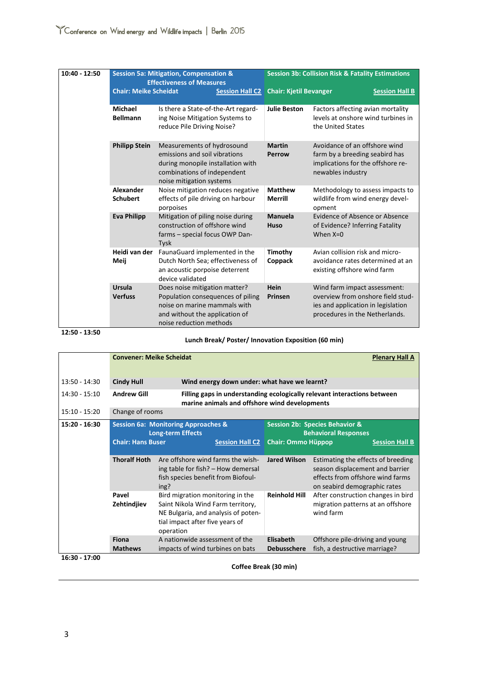| 10:40 - 12:50 | <b>Session 5a: Mitigation, Compensation &amp;</b><br><b>Effectiveness of Measures</b> |                                                                                                                                                                 |                        | <b>Session 3b: Collision Risk &amp; Fatality Estimations</b> |                                                                                                                                           |                       |
|---------------|---------------------------------------------------------------------------------------|-----------------------------------------------------------------------------------------------------------------------------------------------------------------|------------------------|--------------------------------------------------------------|-------------------------------------------------------------------------------------------------------------------------------------------|-----------------------|
|               | <b>Chair: Meike Scheidat</b>                                                          |                                                                                                                                                                 | <b>Session Hall C2</b> | <b>Chair: Kjetil Bevanger</b>                                |                                                                                                                                           | <b>Session Hall B</b> |
|               | Michael<br><b>Bellmann</b>                                                            | Is there a State-of-the-Art regard-<br>ing Noise Mitigation Systems to<br>reduce Pile Driving Noise?                                                            |                        | <b>Julie Beston</b>                                          | Factors affecting avian mortality<br>levels at onshore wind turbines in<br>the United States                                              |                       |
|               | <b>Philipp Stein</b>                                                                  | Measurements of hydrosound<br>emissions and soil vibrations<br>during monopile installation with<br>combinations of independent<br>noise mitigation systems     |                        | <b>Martin</b><br>Perrow                                      | Avoidance of an offshore wind<br>farm by a breeding seabird has<br>implications for the offshore re-<br>newables industry                 |                       |
|               | Alexander<br><b>Schubert</b>                                                          | Noise mitigation reduces negative<br>effects of pile driving on harbour<br>porpoises                                                                            |                        | <b>Matthew</b><br>Merrill                                    | Methodology to assess impacts to<br>wildlife from wind energy devel-<br>opment                                                            |                       |
|               | <b>Eva Philipp</b>                                                                    | Mitigation of piling noise during<br>construction of offshore wind<br>farms - special focus OWP Dan-<br><b>Tysk</b>                                             |                        | <b>Manuela</b><br>Huso                                       | <b>Evidence of Absence or Absence</b><br>of Evidence? Inferring Fatality<br>When $X=0$                                                    |                       |
|               | Heidi van der<br>Meij                                                                 | FaunaGuard implemented in the<br>Dutch North Sea; effectiveness of<br>an acoustic porpoise deterrent<br>device validated                                        |                        | Timothy<br>Coppack                                           | Avian collision risk and micro-<br>avoidance rates determined at an<br>existing offshore wind farm                                        |                       |
|               | Ursula<br><b>Verfuss</b>                                                              | Does noise mitigation matter?<br>Population consequences of piling<br>noise on marine mammals with<br>and without the application of<br>noise reduction methods |                        | Hein<br>Prinsen                                              | Wind farm impact assessment:<br>overview from onshore field stud-<br>ies and application in legislation<br>procedures in the Netherlands. |                       |

**12:50 - 13:50**

**Lunch Break/ Poster/ Innovation Exposition (60 min)**

|                 | <b>Convener: Meike Scheidat</b> |                                                                                                                                                              |                                                                                                                           | <b>Plenary Hall A</b>                                                                                                                     |                       |
|-----------------|---------------------------------|--------------------------------------------------------------------------------------------------------------------------------------------------------------|---------------------------------------------------------------------------------------------------------------------------|-------------------------------------------------------------------------------------------------------------------------------------------|-----------------------|
| $13:50 - 14:30$ | <b>Cindy Hull</b>               |                                                                                                                                                              | Wind energy down under: what have we learnt?                                                                              |                                                                                                                                           |                       |
| $14:30 - 15:10$ | <b>Andrew Gill</b>              |                                                                                                                                                              | Filling gaps in understanding ecologically relevant interactions between<br>marine animals and offshore wind developments |                                                                                                                                           |                       |
| $15:10 - 15:20$ | Change of rooms                 |                                                                                                                                                              |                                                                                                                           |                                                                                                                                           |                       |
| 15:20 - 16:30   | <b>Chair: Hans Buser</b>        | <b>Session 6a: Monitoring Approaches &amp;</b><br><b>Long-term Effects</b><br><b>Session Hall C2</b>                                                         | <b>Chair: Ommo Hüppop</b>                                                                                                 | <b>Session 2b: Species Behavior &amp;</b><br><b>Behavioral Responses</b>                                                                  | <b>Session Hall B</b> |
|                 | <b>Thoralf Hoth</b>             | Are offshore wind farms the wish-<br>ing table for fish? - How demersal<br>fish species benefit from Biofoul-<br>ing?                                        | <b>Jared Wilson</b>                                                                                                       | Estimating the effects of breeding<br>season displacement and barrier<br>effects from offshore wind farms<br>on seabird demographic rates |                       |
|                 | Pavel<br>Zehtindjiev            | Bird migration monitoring in the<br>Saint Nikola Wind Farm territory,<br>NE Bulgaria, and analysis of poten-<br>tial impact after five years of<br>operation | <b>Reinhold Hill</b>                                                                                                      | After construction changes in bird<br>migration patterns at an offshore<br>wind farm                                                      |                       |
| 16:30 - 17:00   | Fiona<br><b>Mathews</b>         | A nationwide assessment of the<br>impacts of wind turbines on bats                                                                                           | Elisabeth<br><b>Debusschere</b>                                                                                           | Offshore pile-driving and young<br>fish, a destructive marriage?                                                                          |                       |

**Coffee Break (30 min)**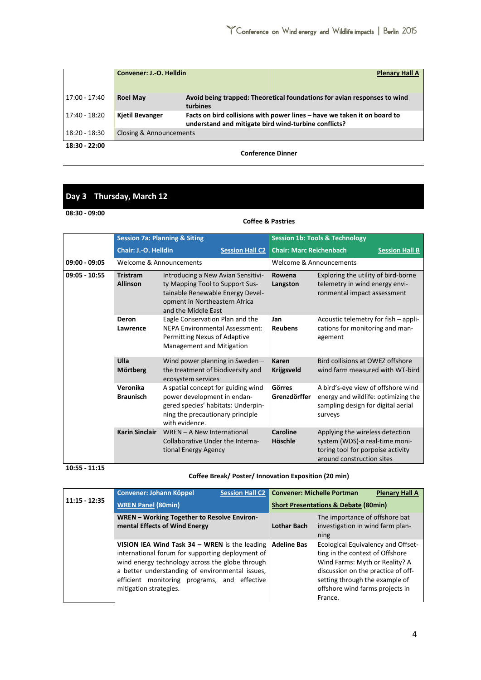|                 | Convener: J.-O. Helldin | <b>Plenary Hall A</b>                                                                                                            |
|-----------------|-------------------------|----------------------------------------------------------------------------------------------------------------------------------|
| 17:00 - 17:40   | <b>Roel May</b>         | Avoid being trapped: Theoretical foundations for avian responses to wind<br>turbines                                             |
| 17:40 - 18:20   | <b>Kjetil Bevanger</b>  | Facts on bird collisions with power lines – have we taken it on board to<br>understand and mitigate bird wind-turbine conflicts? |
| 18:20 - 18:30   | Closing & Announcements |                                                                                                                                  |
| $18:30 - 22:00$ |                         |                                                                                                                                  |

**Conference Dinner**

# **Day 3 Thursday, March 12**

**08:30 - 09:00**

## **Coffee & Pastries**

|                 | <b>Session 7a: Planning &amp; Siting</b> |                                                                                                                                                                   |                         | <b>Session 1b: Tools &amp; Technology</b> |                                                                                                                                     |                       |  |
|-----------------|------------------------------------------|-------------------------------------------------------------------------------------------------------------------------------------------------------------------|-------------------------|-------------------------------------------|-------------------------------------------------------------------------------------------------------------------------------------|-----------------------|--|
|                 | <b>Chair: J.-O. Helldin</b>              |                                                                                                                                                                   | <b>Session Hall C2</b>  | <b>Chair: Marc Reichenbach</b>            |                                                                                                                                     | <b>Session Hall B</b> |  |
| $09:00 - 09:05$ | Welcome & Announcements                  |                                                                                                                                                                   | Welcome & Announcements |                                           |                                                                                                                                     |                       |  |
| $09:05 - 10:55$ | <b>Tristram</b><br><b>Allinson</b>       | Introducing a New Avian Sensitivi-<br>ty Mapping Tool to Support Sus-<br>tainable Renewable Energy Devel-<br>opment in Northeastern Africa<br>and the Middle East |                         | Rowena<br>Langston                        | Exploring the utility of bird-borne<br>telemetry in wind energy envi-<br>ronmental impact assessment                                |                       |  |
|                 | Deron<br>Lawrence                        | Eagle Conservation Plan and the<br><b>NEPA Environmental Assessment:</b><br>Permitting Nexus of Adaptive<br>Management and Mitigation                             |                         | Jan<br><b>Reubens</b>                     | Acoustic telemetry for fish - appli-<br>cations for monitoring and man-<br>agement                                                  |                       |  |
|                 | Ulla<br>Mörtberg                         | Wind power planning in Sweden -<br>the treatment of biodiversity and<br>ecosystem services                                                                        |                         | <b>Karen</b><br><b>Krijgsveld</b>         | Bird collisions at OWEZ offshore<br>wind farm measured with WT-bird                                                                 |                       |  |
|                 | Veronika<br><b>Braunisch</b>             | A spatial concept for guiding wind<br>power development in endan-<br>gered species' habitats: Underpin-<br>ning the precautionary principle<br>with evidence.     |                         | Görres<br>Grenzdörffer                    | A bird's-eye view of offshore wind<br>energy and wildlife: optimizing the<br>sampling design for digital aerial<br>surveys          |                       |  |
|                 | <b>Karin Sinclair</b>                    | WREN - A New International<br>Collaborative Under the Interna-<br>tional Energy Agency                                                                            |                         | Caroline<br>Höschle                       | Applying the wireless detection<br>system (WDS)-a real-time moni-<br>toring tool for porpoise activity<br>around construction sites |                       |  |

**10:55 - 11:15**

## **Coffee Break/ Poster/ Innovation Exposition (20 min)**

|                 | Convener: Johann Köppel                                                                                                                                                                                                                                                             | <b>Session Hall C2</b> |                    | <b>Convener: Michelle Portman</b>                                                                                                                                                                                             | <b>Plenary Hall A</b> |
|-----------------|-------------------------------------------------------------------------------------------------------------------------------------------------------------------------------------------------------------------------------------------------------------------------------------|------------------------|--------------------|-------------------------------------------------------------------------------------------------------------------------------------------------------------------------------------------------------------------------------|-----------------------|
| $11:15 - 12:35$ | <b>WREN Panel (80min)</b>                                                                                                                                                                                                                                                           |                        |                    | <b>Short Presentations &amp; Debate (80min)</b>                                                                                                                                                                               |                       |
|                 | WREN - Working Together to Resolve Environ-<br>mental Effects of Wind Energy                                                                                                                                                                                                        |                        | <b>Lothar Bach</b> | The importance of offshore bat<br>investigation in wind farm plan-<br>ning                                                                                                                                                    |                       |
|                 | VISION IEA Wind Task $34$ – WREN is the leading<br>international forum for supporting deployment of<br>wind energy technology across the globe through<br>a better understanding of environmental issues,<br>efficient monitoring programs, and effective<br>mitigation strategies. |                        | <b>Adeline Bas</b> | Ecological Equivalency and Offset-<br>ting in the context of Offshore<br>Wind Farms: Myth or Reality? A<br>discussion on the practice of off-<br>setting through the example of<br>offshore wind farms projects in<br>France. |                       |